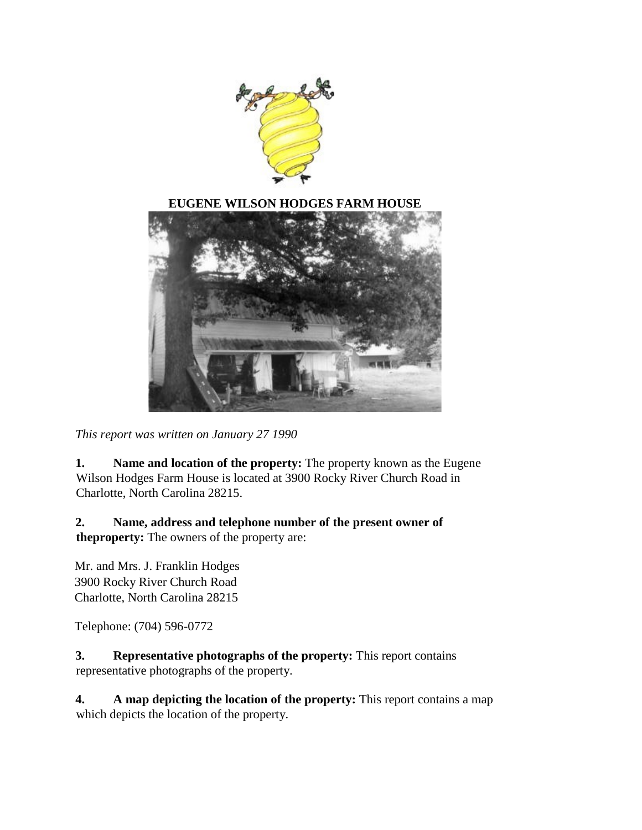

#### **EUGENE WILSON HODGES FARM HOUSE**



*This report was written on January 27 1990*

**1. Name and location of the property:** The property known as the Eugene Wilson Hodges Farm House is located at 3900 Rocky River Church Road in Charlotte, North Carolina 28215.

**2. Name, address and telephone number of the present owner of theproperty:** The owners of the property are:

Mr. and Mrs. J. Franklin Hodges 3900 Rocky River Church Road Charlotte, North Carolina 28215

Telephone: (704) 596-0772

**3. Representative photographs of the property:** This report contains representative photographs of the property.

**4. A map depicting the location of the property:** This report contains a map which depicts the location of the property.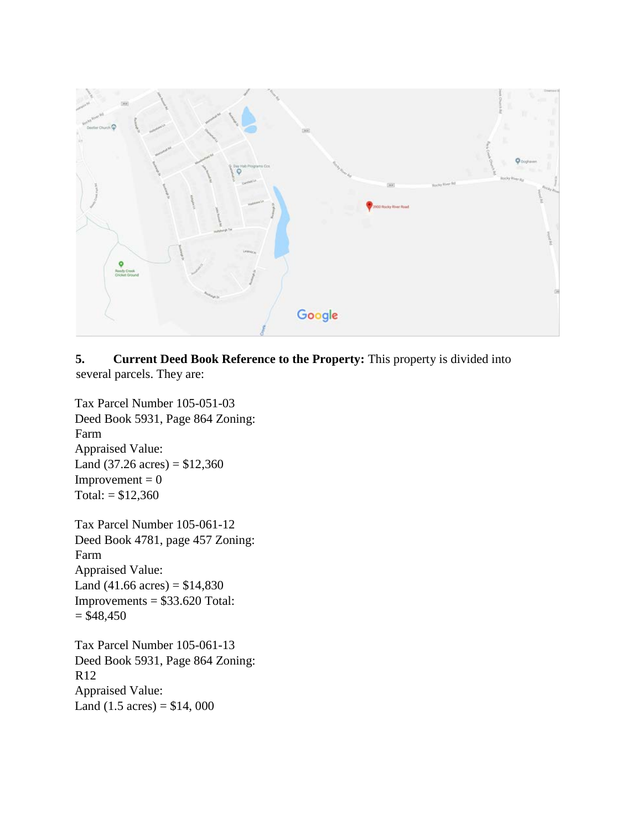

### **5. Current Deed Book Reference to the Property:** This property is divided into several parcels. They are:

Tax Parcel Number 105-051-03 Deed Book 5931, Page 864 Zoning: Farm Appraised Value: Land  $(37.26 \text{ acres}) = $12,360$  $Improvement = 0$ Total:  $= $12,360$ 

Tax Parcel Number 105-061-12 Deed Book 4781, page 457 Zoning: Farm Appraised Value: Land  $(41.66 \text{ acres}) = $14,830$  $Improvements = $33.620 Total:$  $= $48,450$ 

Tax Parcel Number 105-061-13 Deed Book 5931, Page 864 Zoning: R12 Appraised Value: Land  $(1.5 \text{ acres}) = $14,000$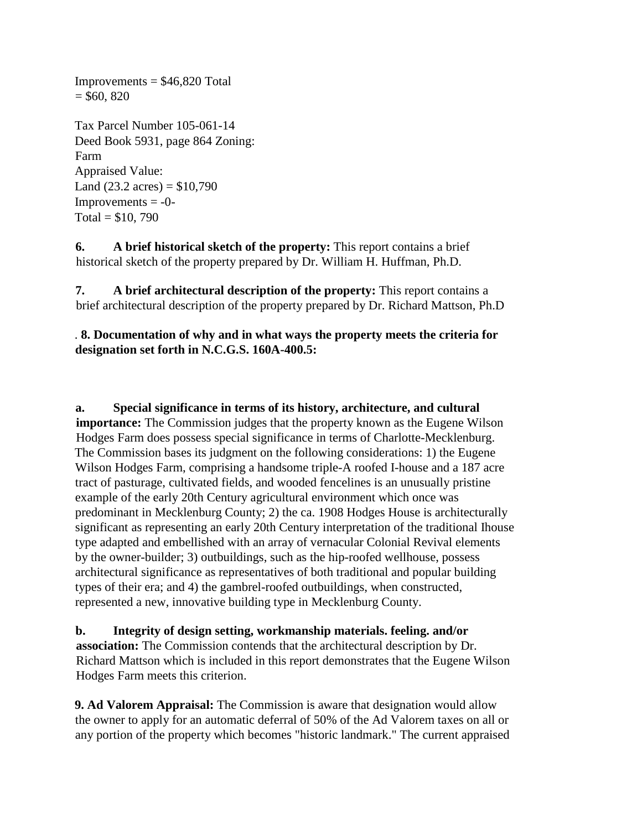$= $60, 820$ Tax Parcel Number 105-061-14 Deed Book 5931, page 864 Zoning: Farm Appraised Value: Land  $(23.2 \text{ acres}) = $10,790$  $Improvements = -0-$ Total =  $$10, 790$ 

 $Improvements = $46,820$  Total

**6. A brief historical sketch of the property:** This report contains a brief historical sketch of the property prepared by Dr. William H. Huffman, Ph.D.

**7. A brief architectural description of the property:** This report contains a brief architectural description of the property prepared by Dr. Richard Mattson, Ph.D

. **8. Documentation of why and in what ways the property meets the criteria for designation set forth in N.C.G.S. 160A-400.5:**

**a. Special significance in terms of its history, architecture, and cultural importance:** The Commission judges that the property known as the Eugene Wilson Hodges Farm does possess special significance in terms of Charlotte-Mecklenburg. The Commission bases its judgment on the following considerations: 1) the Eugene Wilson Hodges Farm, comprising a handsome triple-A roofed I-house and a 187 acre tract of pasturage, cultivated fields, and wooded fencelines is an unusually pristine example of the early 20th Century agricultural environment which once was predominant in Mecklenburg County; 2) the ca. 1908 Hodges House is architecturally significant as representing an early 20th Century interpretation of the traditional Ihouse type adapted and embellished with an array of vernacular Colonial Revival elements by the owner-builder; 3) outbuildings, such as the hip-roofed wellhouse, possess architectural significance as representatives of both traditional and popular building types of their era; and 4) the gambrel-roofed outbuildings, when constructed, represented a new, innovative building type in Mecklenburg County.

**b. Integrity of design setting, workmanship materials. feeling. and/or association:** The Commission contends that the architectural description by Dr. Richard Mattson which is included in this report demonstrates that the Eugene Wilson Hodges Farm meets this criterion.

**9. Ad Valorem Appraisal:** The Commission is aware that designation would allow the owner to apply for an automatic deferral of 50% of the Ad Valorem taxes on all or any portion of the property which becomes "historic landmark." The current appraised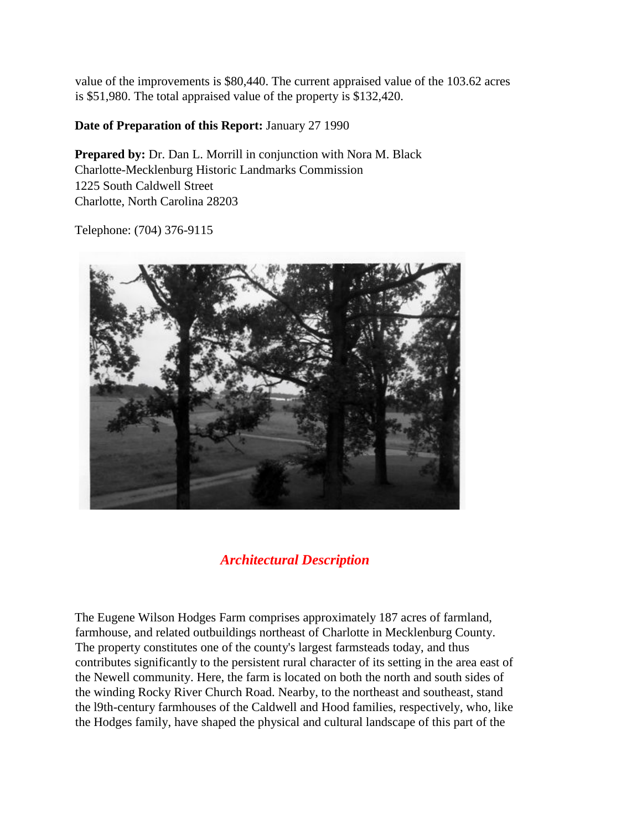value of the improvements is \$80,440. The current appraised value of the 103.62 acres is \$51,980. The total appraised value of the property is \$132,420.

### **Date of Preparation of this Report:** January 27 1990

**Prepared by: Dr. Dan L. Morrill in conjunction with Nora M. Black** Charlotte-Mecklenburg Historic Landmarks Commission 1225 South Caldwell Street Charlotte, North Carolina 28203

Telephone: (704) 376-9115



# *Architectural Description*

The Eugene Wilson Hodges Farm comprises approximately 187 acres of farmland, farmhouse, and related outbuildings northeast of Charlotte in Mecklenburg County. The property constitutes one of the county's largest farmsteads today, and thus contributes significantly to the persistent rural character of its setting in the area east of the Newell community. Here, the farm is located on both the north and south sides of the winding Rocky River Church Road. Nearby, to the northeast and southeast, stand the l9th-century farmhouses of the Caldwell and Hood families, respectively, who, like the Hodges family, have shaped the physical and cultural landscape of this part of the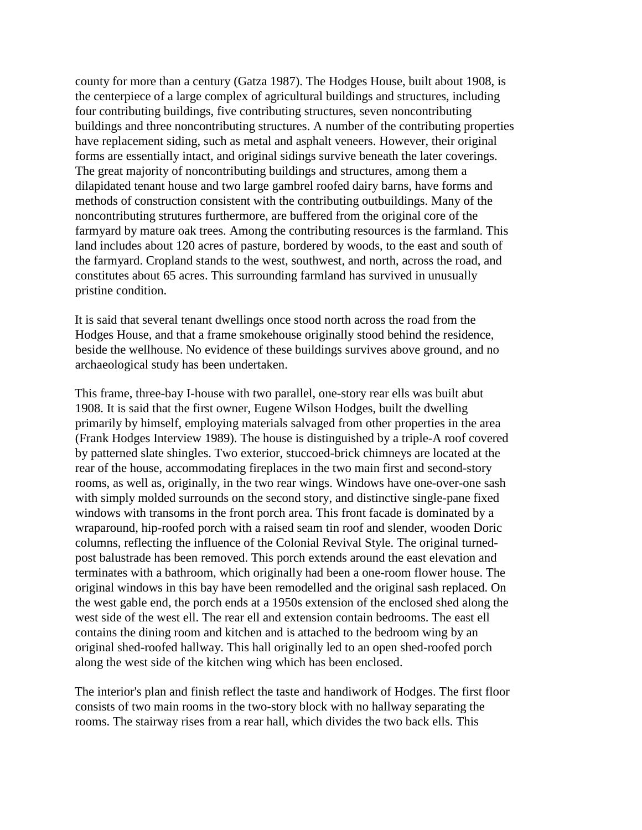county for more than a century (Gatza 1987). The Hodges House, built about 1908, is the centerpiece of a large complex of agricultural buildings and structures, including four contributing buildings, five contributing structures, seven noncontributing buildings and three noncontributing structures. A number of the contributing properties have replacement siding, such as metal and asphalt veneers. However, their original forms are essentially intact, and original sidings survive beneath the later coverings. The great majority of noncontributing buildings and structures, among them a dilapidated tenant house and two large gambrel roofed dairy barns, have forms and methods of construction consistent with the contributing outbuildings. Many of the noncontributing strutures furthermore, are buffered from the original core of the farmyard by mature oak trees. Among the contributing resources is the farmland. This land includes about 120 acres of pasture, bordered by woods, to the east and south of the farmyard. Cropland stands to the west, southwest, and north, across the road, and constitutes about 65 acres. This surrounding farmland has survived in unusually pristine condition.

It is said that several tenant dwellings once stood north across the road from the Hodges House, and that a frame smokehouse originally stood behind the residence, beside the wellhouse. No evidence of these buildings survives above ground, and no archaeological study has been undertaken.

This frame, three-bay I-house with two parallel, one-story rear ells was built abut 1908. It is said that the first owner, Eugene Wilson Hodges, built the dwelling primarily by himself, employing materials salvaged from other properties in the area (Frank Hodges Interview 1989). The house is distinguished by a triple-A roof covered by patterned slate shingles. Two exterior, stuccoed-brick chimneys are located at the rear of the house, accommodating fireplaces in the two main first and second-story rooms, as well as, originally, in the two rear wings. Windows have one-over-one sash with simply molded surrounds on the second story, and distinctive single-pane fixed windows with transoms in the front porch area. This front facade is dominated by a wraparound, hip-roofed porch with a raised seam tin roof and slender, wooden Doric columns, reflecting the influence of the Colonial Revival Style. The original turnedpost balustrade has been removed. This porch extends around the east elevation and terminates with a bathroom, which originally had been a one-room flower house. The original windows in this bay have been remodelled and the original sash replaced. On the west gable end, the porch ends at a 1950s extension of the enclosed shed along the west side of the west ell. The rear ell and extension contain bedrooms. The east ell contains the dining room and kitchen and is attached to the bedroom wing by an original shed-roofed hallway. This hall originally led to an open shed-roofed porch along the west side of the kitchen wing which has been enclosed.

The interior's plan and finish reflect the taste and handiwork of Hodges. The first floor consists of two main rooms in the two-story block with no hallway separating the rooms. The stairway rises from a rear hall, which divides the two back ells. This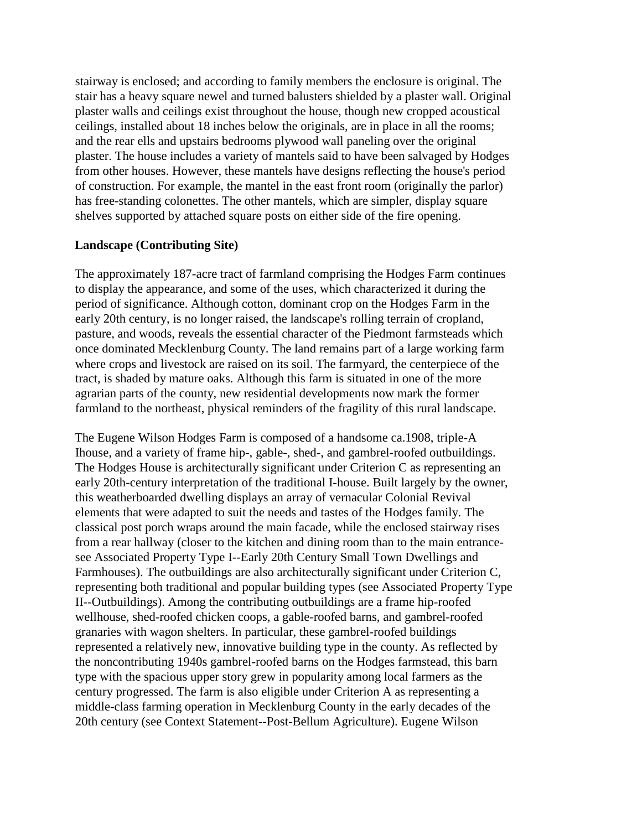stairway is enclosed; and according to family members the enclosure is original. The stair has a heavy square newel and turned balusters shielded by a plaster wall. Original plaster walls and ceilings exist throughout the house, though new cropped acoustical ceilings, installed about 18 inches below the originals, are in place in all the rooms; and the rear ells and upstairs bedrooms plywood wall paneling over the original plaster. The house includes a variety of mantels said to have been salvaged by Hodges from other houses. However, these mantels have designs reflecting the house's period of construction. For example, the mantel in the east front room (originally the parlor) has free-standing colonettes. The other mantels, which are simpler, display square shelves supported by attached square posts on either side of the fire opening.

#### **Landscape (Contributing Site)**

The approximately 187-acre tract of farmland comprising the Hodges Farm continues to display the appearance, and some of the uses, which characterized it during the period of significance. Although cotton, dominant crop on the Hodges Farm in the early 20th century, is no longer raised, the landscape's rolling terrain of cropland, pasture, and woods, reveals the essential character of the Piedmont farmsteads which once dominated Mecklenburg County. The land remains part of a large working farm where crops and livestock are raised on its soil. The farmyard, the centerpiece of the tract, is shaded by mature oaks. Although this farm is situated in one of the more agrarian parts of the county, new residential developments now mark the former farmland to the northeast, physical reminders of the fragility of this rural landscape.

The Eugene Wilson Hodges Farm is composed of a handsome ca.1908, triple-A Ihouse, and a variety of frame hip-, gable-, shed-, and gambrel-roofed outbuildings. The Hodges House is architecturally significant under Criterion C as representing an early 20th-century interpretation of the traditional I-house. Built largely by the owner, this weatherboarded dwelling displays an array of vernacular Colonial Revival elements that were adapted to suit the needs and tastes of the Hodges family. The classical post porch wraps around the main facade, while the enclosed stairway rises from a rear hallway (closer to the kitchen and dining room than to the main entrancesee Associated Property Type I--Early 20th Century Small Town Dwellings and Farmhouses). The outbuildings are also architecturally significant under Criterion C, representing both traditional and popular building types (see Associated Property Type II--Outbuildings). Among the contributing outbuildings are a frame hip-roofed wellhouse, shed-roofed chicken coops, a gable-roofed barns, and gambrel-roofed granaries with wagon shelters. In particular, these gambrel-roofed buildings represented a relatively new, innovative building type in the county. As reflected by the noncontributing 1940s gambrel-roofed barns on the Hodges farmstead, this barn type with the spacious upper story grew in popularity among local farmers as the century progressed. The farm is also eligible under Criterion A as representing a middle-class farming operation in Mecklenburg County in the early decades of the 20th century (see Context Statement--Post-Bellum Agriculture). Eugene Wilson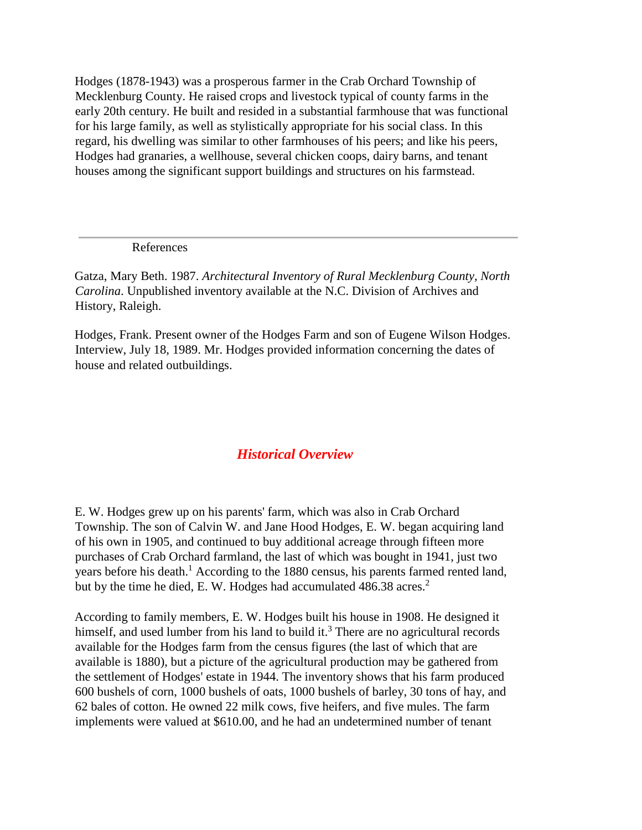Hodges (1878-1943) was a prosperous farmer in the Crab Orchard Township of Mecklenburg County. He raised crops and livestock typical of county farms in the early 20th century. He built and resided in a substantial farmhouse that was functional for his large family, as well as stylistically appropriate for his social class. In this regard, his dwelling was similar to other farmhouses of his peers; and like his peers, Hodges had granaries, a wellhouse, several chicken coops, dairy barns, and tenant houses among the significant support buildings and structures on his farmstead.

References

Gatza, Mary Beth. 1987. *Architectural Inventory of Rural Mecklenburg County, North Carolina*. Unpublished inventory available at the N.C. Division of Archives and History, Raleigh.

Hodges, Frank. Present owner of the Hodges Farm and son of Eugene Wilson Hodges. Interview, July 18, 1989. Mr. Hodges provided information concerning the dates of house and related outbuildings.

# *Historical Overview*

E. W. Hodges grew up on his parents' farm, which was also in Crab Orchard Township. The son of Calvin W. and Jane Hood Hodges, E. W. began acquiring land of his own in 1905, and continued to buy additional acreage through fifteen more purchases of Crab Orchard farmland, the last of which was bought in 1941, just two years before his death.<sup>1</sup> According to the 1880 census, his parents farmed rented land, but by the time he died, E. W. Hodges had accumulated 486.38 acres.<sup>2</sup>

According to family members, E. W. Hodges built his house in 1908. He designed it himself, and used lumber from his land to build it.<sup>3</sup> There are no agricultural records available for the Hodges farm from the census figures (the last of which that are available is 1880), but a picture of the agricultural production may be gathered from the settlement of Hodges' estate in 1944. The inventory shows that his farm produced 600 bushels of corn, 1000 bushels of oats, 1000 bushels of barley, 30 tons of hay, and 62 bales of cotton. He owned 22 milk cows, five heifers, and five mules. The farm implements were valued at \$610.00, and he had an undetermined number of tenant